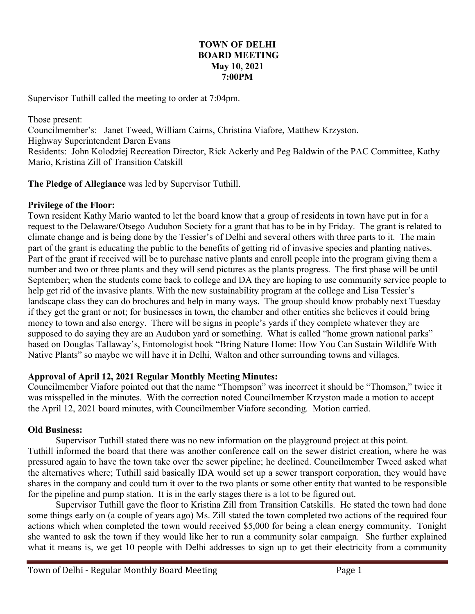# **TOWN OF DELHI BOARD MEETING May 10, 2021 7:00PM**

Supervisor Tuthill called the meeting to order at 7:04pm.

Those present: Councilmember's: Janet Tweed, William Cairns, Christina Viafore, Matthew Krzyston. Highway Superintendent Daren Evans Residents: John Kolodziej Recreation Director, Rick Ackerly and Peg Baldwin of the PAC Committee, Kathy Mario, Kristina Zill of Transition Catskill

**The Pledge of Allegiance** was led by Supervisor Tuthill.

# **Privilege of the Floor:**

Town resident Kathy Mario wanted to let the board know that a group of residents in town have put in for a request to the Delaware/Otsego Audubon Society for a grant that has to be in by Friday. The grant is related to climate change and is being done by the Tessier's of Delhi and several others with three parts to it. The main part of the grant is educating the public to the benefits of getting rid of invasive species and planting natives. Part of the grant if received will be to purchase native plants and enroll people into the program giving them a number and two or three plants and they will send pictures as the plants progress. The first phase will be until September; when the students come back to college and DA they are hoping to use community service people to help get rid of the invasive plants. With the new sustainability program at the college and Lisa Tessier's landscape class they can do brochures and help in many ways. The group should know probably next Tuesday if they get the grant or not; for businesses in town, the chamber and other entities she believes it could bring money to town and also energy. There will be signs in people's yards if they complete whatever they are supposed to do saying they are an Audubon yard or something. What is called "home grown national parks" based on Douglas Tallaway's, Entomologist book "Bring Nature Home: How You Can Sustain Wildlife With Native Plants" so maybe we will have it in Delhi, Walton and other surrounding towns and villages.

# **Approval of April 12, 2021 Regular Monthly Meeting Minutes:**

Councilmember Viafore pointed out that the name "Thompson" was incorrect it should be "Thomson," twice it was misspelled in the minutes. With the correction noted Councilmember Krzyston made a motion to accept the April 12, 2021 board minutes, with Councilmember Viafore seconding. Motion carried.

# **Old Business:**

Supervisor Tuthill stated there was no new information on the playground project at this point. Tuthill informed the board that there was another conference call on the sewer district creation, where he was pressured again to have the town take over the sewer pipeline; he declined. Councilmember Tweed asked what the alternatives where; Tuthill said basically IDA would set up a sewer transport corporation, they would have shares in the company and could turn it over to the two plants or some other entity that wanted to be responsible for the pipeline and pump station. It is in the early stages there is a lot to be figured out.

Supervisor Tuthill gave the floor to Kristina Zill from Transition Catskills. He stated the town had done some things early on (a couple of years ago) Ms. Zill stated the town completed two actions of the required four actions which when completed the town would received \$5,000 for being a clean energy community. Tonight she wanted to ask the town if they would like her to run a community solar campaign. She further explained what it means is, we get 10 people with Delhi addresses to sign up to get their electricity from a community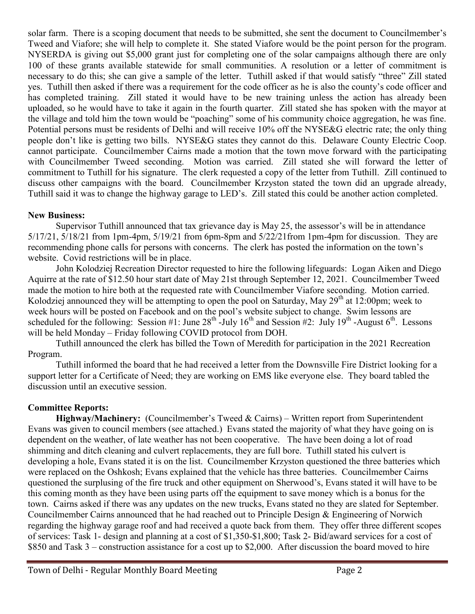solar farm. There is a scoping document that needs to be submitted, she sent the document to Councilmember's Tweed and Viafore; she will help to complete it. She stated Viafore would be the point person for the program. NYSERDA is giving out \$5,000 grant just for completing one of the solar campaigns although there are only 100 of these grants available statewide for small communities. A resolution or a letter of commitment is necessary to do this; she can give a sample of the letter. Tuthill asked if that would satisfy "three" Zill stated yes. Tuthill then asked if there was a requirement for the code officer as he is also the county's code officer and has completed training. Zill stated it would have to be new training unless the action has already been uploaded, so he would have to take it again in the fourth quarter. Zill stated she has spoken with the mayor at the village and told him the town would be "poaching" some of his community choice aggregation, he was fine. Potential persons must be residents of Delhi and will receive 10% off the NYSE&G electric rate; the only thing people don't like is getting two bills. NYSE&G states they cannot do this. Delaware County Electric Coop. cannot participate. Councilmember Cairns made a motion that the town move forward with the participating with Councilmember Tweed seconding. Motion was carried. Zill stated she will forward the letter of commitment to Tuthill for his signature. The clerk requested a copy of the letter from Tuthill. Zill continued to discuss other campaigns with the board. Councilmember Krzyston stated the town did an upgrade already, Tuthill said it was to change the highway garage to LED's. Zill stated this could be another action completed.

# **New Business:**

Supervisor Tuthill announced that tax grievance day is May 25, the assessor's will be in attendance 5/17/21, 5/18/21 from 1pm-4pm, 5/19/21 from 6pm-8pm and 5/22/21from 1pm-4pm for discussion. They are recommending phone calls for persons with concerns. The clerk has posted the information on the town's website. Covid restrictions will be in place.

John Kolodziej Recreation Director requested to hire the following lifeguards: Logan Aiken and Diego Aquirre at the rate of \$12.50 hour start date of May 21st through September 12, 2021. Councilmember Tweed made the motion to hire both at the requested rate with Councilmember Viafore seconding. Motion carried. Kolodziej announced they will be attempting to open the pool on Saturday, May  $29<sup>th</sup>$  at 12:00pm; week to week hours will be posted on Facebook and on the pool's website subject to change. Swim lessons are scheduled for the following: Session #1: June  $28^{th}$ -July  $16^{th}$  and Session #2: July  $19^{th}$ -August  $6^{th}$ . Lessons will be held Monday – Friday following COVID protocol from DOH.

Tuthill announced the clerk has billed the Town of Meredith for participation in the 2021 Recreation Program.

Tuthill informed the board that he had received a letter from the Downsville Fire District looking for a support letter for a Certificate of Need; they are working on EMS like everyone else. They board tabled the discussion until an executive session.

# **Committee Reports:**

**Highway/Machinery:** (Councilmember's Tweed & Cairns) – Written report from Superintendent Evans was given to council members (see attached.) Evans stated the majority of what they have going on is dependent on the weather, of late weather has not been cooperative. The have been doing a lot of road shimming and ditch cleaning and culvert replacements, they are full bore. Tuthill stated his culvert is developing a hole, Evans stated it is on the list. Councilmember Krzyston questioned the three batteries which were replaced on the Oshkosh; Evans explained that the vehicle has three batteries. Councilmember Cairns questioned the surplusing of the fire truck and other equipment on Sherwood's, Evans stated it will have to be this coming month as they have been using parts off the equipment to save money which is a bonus for the town. Cairns asked if there was any updates on the new trucks, Evans stated no they are slated for September. Councilmember Cairns announced that he had reached out to Principle Design & Engineering of Norwich regarding the highway garage roof and had received a quote back from them. They offer three different scopes of services: Task 1- design and planning at a cost of \$1,350-\$1,800; Task 2- Bid/award services for a cost of \$850 and Task 3 – construction assistance for a cost up to \$2,000. After discussion the board moved to hire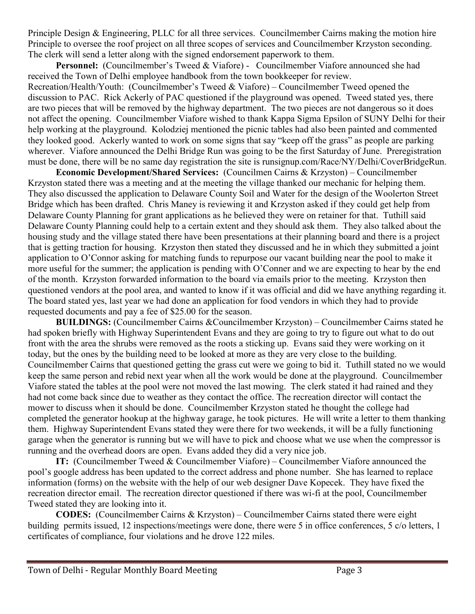Principle Design & Engineering, PLLC for all three services. Councilmember Cairns making the motion hire Principle to oversee the roof project on all three scopes of services and Councilmember Krzyston seconding. The clerk will send a letter along with the signed endorsement paperwork to them.

**Personnel:** (Councilmember's Tweed & Viafore) - Councilmember Viafore announced she had received the Town of Delhi employee handbook from the town bookkeeper for review. Recreation/Health/Youth: (Councilmember's Tweed & Viafore) – Councilmember Tweed opened the discussion to PAC. Rick Ackerly of PAC questioned if the playground was opened. Tweed stated yes, there are two pieces that will be removed by the highway department. The two pieces are not dangerous so it does not affect the opening. Councilmember Viafore wished to thank Kappa Sigma [Epsilon](https://www.facebook.com/KappaSigmaEpsilon/?__cft__%5b0%5d=AZWNMUELRW0wRmeqgf2uAhnE5_JYuMOayaqmV3cGcc_3nuyVN-8dgmW4KKIrPPOt_M0lvMuJUqXDQu2Vn5o7xwN5FM0URN4XhLiHJ5FsGO-jkrV8VnzHIxLlh8hVfZtHd7EWV32a85cPtcjyxJUYKXMMZPbiBuR9cmgTCQ5KnjLCA7K8sOnh_oKqrT9sy6KcrzTZOWG5gYRrGCzV5n0vQq4g&__tn__=-UC%2CP-R) of SUNY Delhi for their help working at the playground. Kolodziej mentioned the picnic tables had also been painted and commented they looked good. Ackerly wanted to work on some signs that say "keep off the grass" as people are parking wherever. Viafore announced the Delhi Bridge Run was going to be the first Saturday of June. Preregistration must be done, there will be no same day registration the site is runsignup.com/Race/NY/Delhi/CoverBridgeRun.

 **Economic Development/Shared Services:** (Councilmen Cairns & Krzyston) – Councilmember Krzyston stated there was a meeting and at the meeting the village thanked our mechanic for helping them. They also discussed the application to Delaware County Soil and Water for the design of the Woolerton Street Bridge which has been drafted. Chris Maney is reviewing it and Krzyston asked if they could get help from Delaware County Planning for grant applications as he believed they were on retainer for that. Tuthill said Delaware County Planning could help to a certain extent and they should ask them. They also talked about the housing study and the village stated there have been presentations at their planning board and there is a project that is getting traction for housing. Krzyston then stated they discussed and he in which they submitted a joint application to O'Connor asking for matching funds to repurpose our vacant building near the pool to make it more useful for the summer; the application is pending with O'Conner and we are expecting to hear by the end of the month. Krzyston forwarded information to the board via emails prior to the meeting. Krzyston then questioned vendors at the pool area, and wanted to know if it was official and did we have anything regarding it. The board stated yes, last year we had done an application for food vendors in which they had to provide requested documents and pay a fee of \$25.00 for the season.

**BUILDINGS:** (Councilmember Cairns &Councilmember Krzyston) – Councilmember Cairns stated he had spoken briefly with Highway Superintendent Evans and they are going to try to figure out what to do out front with the area the shrubs were removed as the roots a sticking up. Evans said they were working on it today, but the ones by the building need to be looked at more as they are very close to the building. Councilmember Cairns that questioned getting the grass cut were we going to bid it. Tuthill stated no we would keep the same person and rebid next year when all the work would be done at the playground. Councilmember Viafore stated the tables at the pool were not moved the last mowing. The clerk stated it had rained and they had not come back since due to weather as they contact the office. The recreation director will contact the mower to discuss when it should be done. Councilmember Krzyston stated he thought the college had completed the generator hookup at the highway garage, he took pictures. He will write a letter to them thanking them. Highway Superintendent Evans stated they were there for two weekends, it will be a fully functioning garage when the generator is running but we will have to pick and choose what we use when the compressor is running and the overhead doors are open. Evans added they did a very nice job.

**IT:** (Councilmember Tweed & Councilmember Viafore) – Councilmember Viafore announced the pool's google address has been updated to the correct address and phone number. She has learned to replace information (forms) on the website with the help of our web designer Dave Kopecek. They have fixed the recreation director email. The recreation director questioned if there was wi-fi at the pool, Councilmember Tweed stated they are looking into it.

**CODES:** (Councilmember Cairns & Krzyston) – Councilmember Cairns stated there were eight building permits issued, 12 inspections/meetings were done, there were 5 in office conferences, 5 c/o letters, 1 certificates of compliance, four violations and he drove 122 miles.